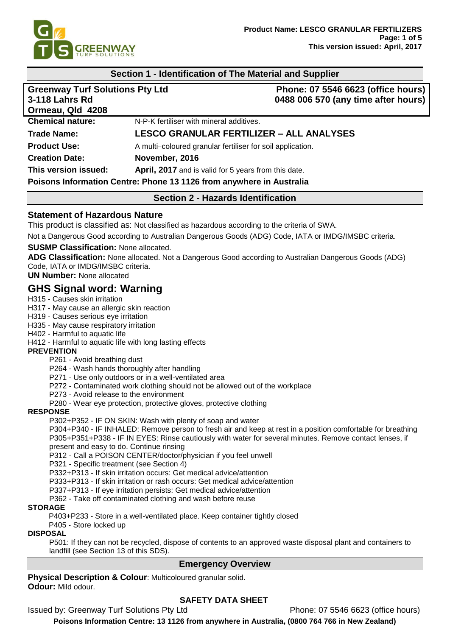

# **Section 1 - Identification of The Material and Supplier**

| <b>Greenway Turf Solutions Pty Ltd</b><br>3-118 Lahrs Rd<br>Ormeau, Qld 4208 |                                                            | Phone: 07 5546 6623 (office hours)<br>0488 006 570 (any time after hours) |
|------------------------------------------------------------------------------|------------------------------------------------------------|---------------------------------------------------------------------------|
| <b>Chemical nature:</b>                                                      | N-P-K fertiliser with mineral additives.                   |                                                                           |
| <b>Trade Name:</b>                                                           | <b>LESCO GRANULAR FERTILIZER - ALL ANALYSES</b>            |                                                                           |
| <b>Product Use:</b>                                                          | A multi-coloured granular fertiliser for soil application. |                                                                           |
| <b>Creation Date:</b>                                                        | November, 2016                                             |                                                                           |
| This version issued:                                                         | April, 2017 and is valid for 5 years from this date.       |                                                                           |
| Poisons Information Centre: Phone 13 1126 from anywhere in Australia         |                                                            |                                                                           |

#### **Section 2 - Hazards Identification**

## **Statement of Hazardous Nature**

This product is classified as: Not classified as hazardous according to the criteria of SWA.

Not a Dangerous Good according to Australian Dangerous Goods (ADG) Code, IATA or IMDG/IMSBC criteria.

#### **SUSMP Classification:** None allocated.

**ADG Classification:** None allocated. Not a Dangerous Good according to Australian Dangerous Goods (ADG) Code, IATA or IMDG/IMSBC criteria.

**UN Number:** None allocated

# **GHS Signal word: Warning**

- H315 Causes skin irritation
- H317 May cause an allergic skin reaction
- H319 Causes serious eye irritation
- H335 May cause respiratory irritation
- H402 Harmful to aquatic life
- H412 Harmful to aquatic life with long lasting effects

#### **PREVENTION**

- P261 Avoid breathing dust
- P264 Wash hands thoroughly after handling
- P271 Use only outdoors or in a well-ventilated area
- P272 Contaminated work clothing should not be allowed out of the workplace
- P273 Avoid release to the environment
- P280 Wear eye protection, protective gloves, protective clothing

#### **RESPONSE**

P302+P352 - IF ON SKIN: Wash with plenty of soap and water

P304+P340 - IF INHALED: Remove person to fresh air and keep at rest in a position comfortable for breathing P305+P351+P338 - IF IN EYES: Rinse cautiously with water for several minutes. Remove contact lenses, if present and easy to do. Continue rinsing

P312 - Call a POISON CENTER/doctor/physician if you feel unwell

P321 - Specific treatment (see Section 4)

P332+P313 - If skin irritation occurs: Get medical advice/attention

P333+P313 - If skin irritation or rash occurs: Get medical advice/attention

P337+P313 - If eye irritation persists: Get medical advice/attention

P362 - Take off contaminated clothing and wash before reuse

#### **STORAGE**

P403+P233 - Store in a well-ventilated place. Keep container tightly closed

P405 - Store locked up

#### **DISPOSAL**

P501: If they can not be recycled, dispose of contents to an approved waste disposal plant and containers to landfill (see Section 13 of this SDS).

## **Emergency Overview**

**Physical Description & Colour**: Multicoloured granular solid. **Odour:** Mild odour.

# **SAFETY DATA SHEET**

Issued by: Greenway Turf Solutions Pty Ltd Phone: 07 5546 6623 (office hours)

**Poisons Information Centre: 13 1126 from anywhere in Australia, (0800 764 766 in New Zealand)**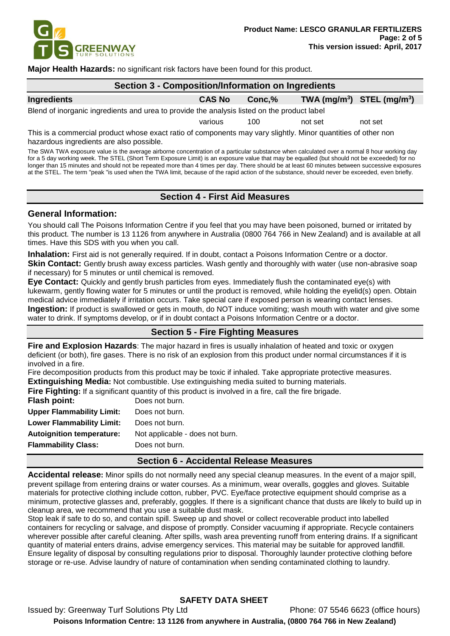

**Major Health Hazards:** no significant risk factors have been found for this product.

#### **Section 3 - Composition/Information on Ingredients**

**Ingredients CAS No Conc,% TWA (mg/m<sup>3</sup> ) STEL (mg/m<sup>3</sup> )**

Blend of inorganic ingredients and urea to provide the analysis listed on the product label

various 100 not set not set

This is a commercial product whose exact ratio of components may vary slightly. Minor quantities of other non hazardous ingredients are also possible.

The SWA TWA exposure value is the average airborne concentration of a particular substance when calculated over a normal 8 hour working day for a 5 day working week. The STEL (Short Term Exposure Limit) is an exposure value that may be equalled (but should not be exceeded) for no longer than 15 minutes and should not be repeated more than 4 times per day. There should be at least 60 minutes between successive exposures at the STEL. The term "peak "is used when the TWA limit, because of the rapid action of the substance, should never be exceeded, even briefly.

## **Section 4 - First Aid Measures**

#### **General Information:**

You should call The Poisons Information Centre if you feel that you may have been poisoned, burned or irritated by this product. The number is 13 1126 from anywhere in Australia (0800 764 766 in New Zealand) and is available at all times. Have this SDS with you when you call.

**Inhalation:** First aid is not generally required. If in doubt, contact a Poisons Information Centre or a doctor. **Skin Contact:** Gently brush away excess particles. Wash gently and thoroughly with water (use non-abrasive soap if necessary) for 5 minutes or until chemical is removed.

**Eye Contact:** Quickly and gently brush particles from eyes. Immediately flush the contaminated eye(s) with lukewarm, gently flowing water for 5 minutes or until the product is removed, while holding the eyelid(s) open. Obtain medical advice immediately if irritation occurs. Take special care if exposed person is wearing contact lenses.

**Ingestion:** If product is swallowed or gets in mouth, do NOT induce vomiting; wash mouth with water and give some water to drink. If symptoms develop, or if in doubt contact a Poisons Information Centre or a doctor.

## **Section 5 - Fire Fighting Measures**

**Fire and Explosion Hazards**: The major hazard in fires is usually inhalation of heated and toxic or oxygen deficient (or both), fire gases. There is no risk of an explosion from this product under normal circumstances if it is involved in a fire.

Fire decomposition products from this product may be toxic if inhaled. Take appropriate protective measures. **Extinguishing Media:** Not combustible. Use extinguishing media suited to burning materials.

**Fire Fighting:** If a significant quantity of this product is involved in a fire, call the fire brigade.

| Flash point:                     | Does not burn.                  |
|----------------------------------|---------------------------------|
| <b>Upper Flammability Limit:</b> | Does not burn.                  |
| <b>Lower Flammability Limit:</b> | Does not burn.                  |
| <b>Autoignition temperature:</b> | Not applicable - does not burn. |
| <b>Flammability Class:</b>       | Does not burn.                  |
|                                  |                                 |

#### **Section 6 - Accidental Release Measures**

**Accidental release:** Minor spills do not normally need any special cleanup measures. In the event of a major spill, prevent spillage from entering drains or water courses. As a minimum, wear overalls, goggles and gloves. Suitable materials for protective clothing include cotton, rubber, PVC. Eye/face protective equipment should comprise as a minimum, protective glasses and, preferably, goggles. If there is a significant chance that dusts are likely to build up in cleanup area, we recommend that you use a suitable dust mask.

Stop leak if safe to do so, and contain spill. Sweep up and shovel or collect recoverable product into labelled containers for recycling or salvage, and dispose of promptly. Consider vacuuming if appropriate. Recycle containers wherever possible after careful cleaning. After spills, wash area preventing runoff from entering drains. If a significant quantity of material enters drains, advise emergency services. This material may be suitable for approved landfill. Ensure legality of disposal by consulting regulations prior to disposal. Thoroughly launder protective clothing before storage or re-use. Advise laundry of nature of contamination when sending contaminated clothing to laundry.

# **SAFETY DATA SHEET**

Issued by: Greenway Turf Solutions Pty Ltd Phone: 07 5546 6623 (office hours) **Poisons Information Centre: 13 1126 from anywhere in Australia, (0800 764 766 in New Zealand)**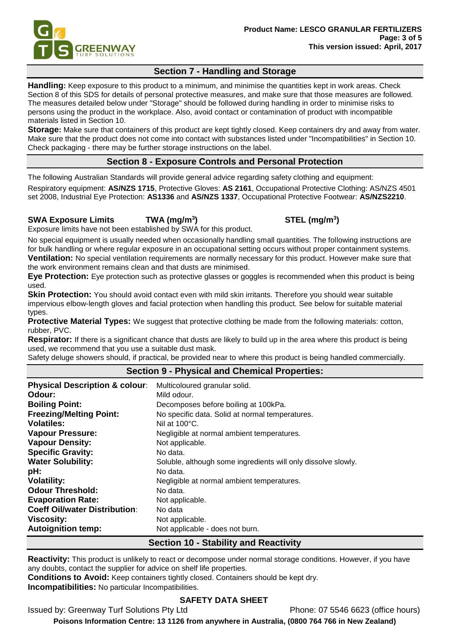

# **Section 7 - Handling and Storage**

**Handling:** Keep exposure to this product to a minimum, and minimise the quantities kept in work areas. Check Section 8 of this SDS for details of personal protective measures, and make sure that those measures are followed. The measures detailed below under "Storage" should be followed during handling in order to minimise risks to persons using the product in the workplace. Also, avoid contact or contamination of product with incompatible materials listed in Section 10.

**Storage:** Make sure that containers of this product are kept tightly closed. Keep containers dry and away from water. Make sure that the product does not come into contact with substances listed under "Incompatibilities" in Section 10. Check packaging - there may be further storage instructions on the label.

# **Section 8 - Exposure Controls and Personal Protection**

The following Australian Standards will provide general advice regarding safety clothing and equipment:

Respiratory equipment: **AS/NZS 1715**, Protective Gloves: **AS 2161**, Occupational Protective Clothing: AS/NZS 4501 set 2008, Industrial Eye Protection: **AS1336** and **AS/NZS 1337**, Occupational Protective Footwear: **AS/NZS2210**.

## **SWA Exposure Limits TWA (mg/m<sup>3</sup>**

**) STEL (mg/m<sup>3</sup> )**

Exposure limits have not been established by SWA for this product.

No special equipment is usually needed when occasionally handling small quantities. The following instructions are for bulk handling or where regular exposure in an occupational setting occurs without proper containment systems. **Ventilation:** No special ventilation requirements are normally necessary for this product. However make sure that the work environment remains clean and that dusts are minimised.

**Eye Protection:** Eye protection such as protective glasses or goggles is recommended when this product is being used.

**Skin Protection:** You should avoid contact even with mild skin irritants. Therefore you should wear suitable impervious elbow-length gloves and facial protection when handling this product. See below for suitable material types.

**Protective Material Types:** We suggest that protective clothing be made from the following materials: cotton, rubber, PVC.

**Respirator:** If there is a significant chance that dusts are likely to build up in the area where this product is being used, we recommend that you use a suitable dust mask.

Safety deluge showers should, if practical, be provided near to where this product is being handled commercially.

## **Section 9 - Physical and Chemical Properties:**

| <b>Physical Description &amp; colour:</b> | Multicoloured granular solid.                                 |
|-------------------------------------------|---------------------------------------------------------------|
| Odour:                                    | Mild odour.                                                   |
| <b>Boiling Point:</b>                     | Decomposes before boiling at 100kPa.                          |
| <b>Freezing/Melting Point:</b>            | No specific data. Solid at normal temperatures.               |
| <b>Volatiles:</b>                         | Nil at $100^{\circ}$ C.                                       |
| <b>Vapour Pressure:</b>                   | Negligible at normal ambient temperatures.                    |
| <b>Vapour Density:</b>                    | Not applicable.                                               |
| <b>Specific Gravity:</b>                  | No data.                                                      |
| <b>Water Solubility:</b>                  | Soluble, although some ingredients will only dissolve slowly. |
| pH:                                       | No data.                                                      |
| <b>Volatility:</b>                        | Negligible at normal ambient temperatures.                    |
| <b>Odour Threshold:</b>                   | No data.                                                      |
| <b>Evaporation Rate:</b>                  | Not applicable.                                               |
| <b>Coeff Oil/water Distribution:</b>      | No data                                                       |
| Viscosity:                                | Not applicable.                                               |
| <b>Autoignition temp:</b>                 | Not applicable - does not burn.                               |

## **Section 10 - Stability and Reactivity**

**Reactivity:** This product is unlikely to react or decompose under normal storage conditions. However, if you have any doubts, contact the supplier for advice on shelf life properties.

**Conditions to Avoid:** Keep containers tightly closed. Containers should be kept dry.

**Incompatibilities:** No particular Incompatibilities.

# **SAFETY DATA SHEET**

Issued by: Greenway Turf Solutions Pty Ltd Phone: 07 5546 6623 (office hours)

**Poisons Information Centre: 13 1126 from anywhere in Australia, (0800 764 766 in New Zealand)**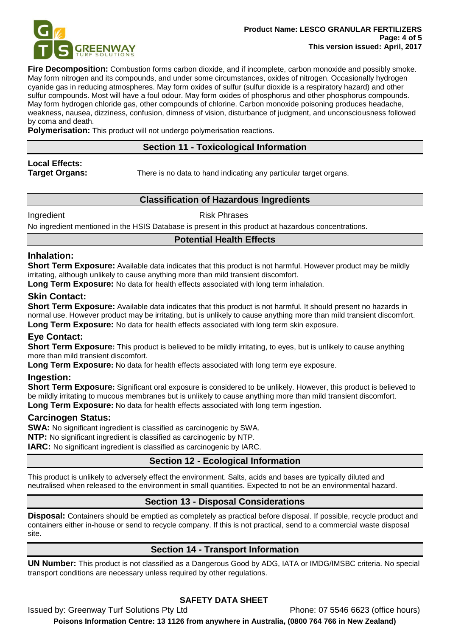

**Fire Decomposition:** Combustion forms carbon dioxide, and if incomplete, carbon monoxide and possibly smoke. May form nitrogen and its compounds, and under some circumstances, oxides of nitrogen. Occasionally hydrogen cyanide gas in reducing atmospheres. May form oxides of sulfur (sulfur dioxide is a respiratory hazard) and other sulfur compounds. Most will have a foul odour. May form oxides of phosphorus and other phosphorus compounds. May form hydrogen chloride gas, other compounds of chlorine. Carbon monoxide poisoning produces headache, weakness, nausea, dizziness, confusion, dimness of vision, disturbance of judgment, and unconsciousness followed by coma and death.

**Polymerisation:** This product will not undergo polymerisation reactions.

## **Section 11 - Toxicological Information**

**Local Effects:** 

**Target Organs:** There is no data to hand indicating any particular target organs.

## **Classification of Hazardous Ingredients**

Ingredient **Risk Phrases** 

No ingredient mentioned in the HSIS Database is present in this product at hazardous concentrations.

# **Potential Health Effects**

#### **Inhalation:**

**Short Term Exposure:** Available data indicates that this product is not harmful. However product may be mildly irritating, although unlikely to cause anything more than mild transient discomfort.

**Long Term Exposure:** No data for health effects associated with long term inhalation.

## **Skin Contact:**

**Short Term Exposure:** Available data indicates that this product is not harmful. It should present no hazards in normal use. However product may be irritating, but is unlikely to cause anything more than mild transient discomfort. **Long Term Exposure:** No data for health effects associated with long term skin exposure.

## **Eye Contact:**

**Short Term Exposure:** This product is believed to be mildly irritating, to eyes, but is unlikely to cause anything more than mild transient discomfort.

**Long Term Exposure:** No data for health effects associated with long term eye exposure.

## **Ingestion:**

**Short Term Exposure:** Significant oral exposure is considered to be unlikely. However, this product is believed to be mildly irritating to mucous membranes but is unlikely to cause anything more than mild transient discomfort. **Long Term Exposure:** No data for health effects associated with long term ingestion.

## **Carcinogen Status:**

**SWA:** No significant ingredient is classified as carcinogenic by SWA.

**NTP:** No significant ingredient is classified as carcinogenic by NTP.

**IARC:** No significant ingredient is classified as carcinogenic by IARC.

## **Section 12 - Ecological Information**

This product is unlikely to adversely effect the environment. Salts, acids and bases are typically diluted and neutralised when released to the environment in small quantities. Expected to not be an environmental hazard.

## **Section 13 - Disposal Considerations**

**Disposal:** Containers should be emptied as completely as practical before disposal. If possible, recycle product and containers either in-house or send to recycle company. If this is not practical, send to a commercial waste disposal site.

## **Section 14 - Transport Information**

**UN Number:** This product is not classified as a Dangerous Good by ADG, IATA or IMDG/IMSBC criteria. No special transport conditions are necessary unless required by other regulations.

# **SAFETY DATA SHEET**

Issued by: Greenway Turf Solutions Pty Ltd Phone: 07 5546 6623 (office hours) **Poisons Information Centre: 13 1126 from anywhere in Australia, (0800 764 766 in New Zealand)**